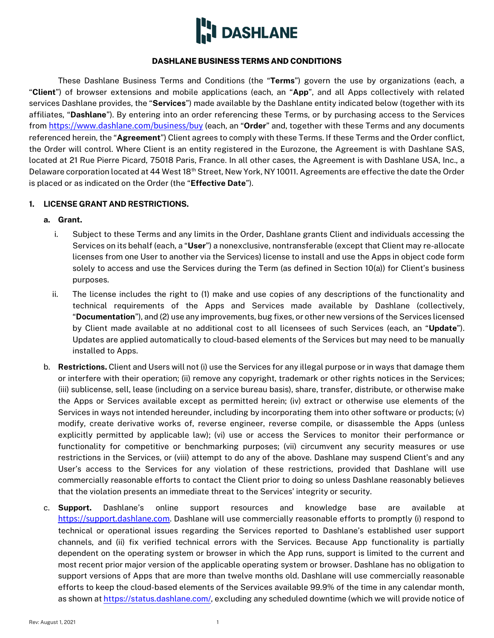

### **DASHLANE BUSINESS TERMS AND CONDITIONS**

These Dashlane Business Terms and Conditions (the "**Terms**") govern the use by organizations (each, a "**Client**") of browser extensions and mobile applications (each, an "**App**", and all Apps collectively with related services Dashlane provides, the "**Services**") made available by the Dashlane entity indicated below (together with its affiliates, "**Dashlane**"). By entering into an order referencing these Terms, or by purchasing access to the Services from <https://www.dashlane.com/business/buy> (each, an "**Order**" and, together with these Terms and any documents referenced herein, the "**Agreement**") Client agrees to comply with these Terms. If these Terms and the Order conflict, the Order will control. Where Client is an entity registered in the Eurozone, the Agreement is with Dashlane SAS, located at 21 Rue Pierre Picard, 75018 Paris, France. In all other cases, the Agreement is with Dashlane USA, Inc., a Delaware corporation located at 44 West 18<sup>th</sup> Street, New York, NY 10011. Agreements are effective the date the Order is placed or as indicated on the Order (the "**Effective Date**").

### <span id="page-0-0"></span>**1. LICENSE GRANT AND RESTRICTIONS.**

- **a. Grant.** 
	- i. Subject to these Terms and any limits in the Order, Dashlane grants Client and individuals accessing the Services on its behalf (each, a "**User**") a nonexclusive, nontransferable (except that Client may re-allocate licenses from one User to another via the Services) license to install and use the Apps in object code form solely to access and use the Services during the Term (as defined in Section [10\(a\)\)](#page-5-0) for Client's business purposes.
	- ii. The license includes the right to (1) make and use copies of any descriptions of the functionality and technical requirements of the Apps and Services made available by Dashlane (collectively, "**Documentation**"), and (2) use any improvements, bug fixes, or other new versions of the Services licensed by Client made available at no additional cost to all licensees of such Services (each, an "**Update**"). Updates are applied automatically to cloud-based elements of the Services but may need to be manually installed to Apps.
- <span id="page-0-1"></span>b. **Restrictions.** Client and Users will not (i) use the Services for any illegal purpose or in ways that damage them or interfere with their operation; (ii) remove any copyright, trademark or other rights notices in the Services; (iii) sublicense, sell, lease (including on a service bureau basis), share, transfer, distribute, or otherwise make the Apps or Services available except as permitted herein; (iv) extract or otherwise use elements of the Services in ways not intended hereunder, including by incorporating them into other software or products; (v) modify, create derivative works of, reverse engineer, reverse compile, or disassemble the Apps (unless explicitly permitted by applicable law); (vi) use or access the Services to monitor their performance or functionality for competitive or benchmarking purposes; (vii) circumvent any security measures or use restrictions in the Services, or (viii) attempt to do any of the above. Dashlane may suspend Client's and any User's access to the Services for any violation of these restrictions, provided that Dashlane will use commercially reasonable efforts to contact the Client prior to doing so unless Dashlane reasonably believes that the violation presents an immediate threat to the Services' integrity or security.
- c. **Support.** Dashlane's online support resources and knowledge base are available at [https://support.dashlane.com](https://support.dashlane.com/). Dashlane will use commercially reasonable efforts to promptly (i) respond to technical or operational issues regarding the Services reported to Dashlane's established user support channels, and (ii) fix verified technical errors with the Services. Because App functionality is partially dependent on the operating system or browser in which the App runs, support is limited to the current and most recent prior major version of the applicable operating system or browser. Dashlane has no obligation to support versions of Apps that are more than twelve months old. Dashlane will use commercially reasonable efforts to keep the cloud-based elements of the Services available 99.9% of the time in any calendar month, as shown a[t https://status.dashlane.com/,](https://status.dashlane.com/) excluding any scheduled downtime (which we will provide notice of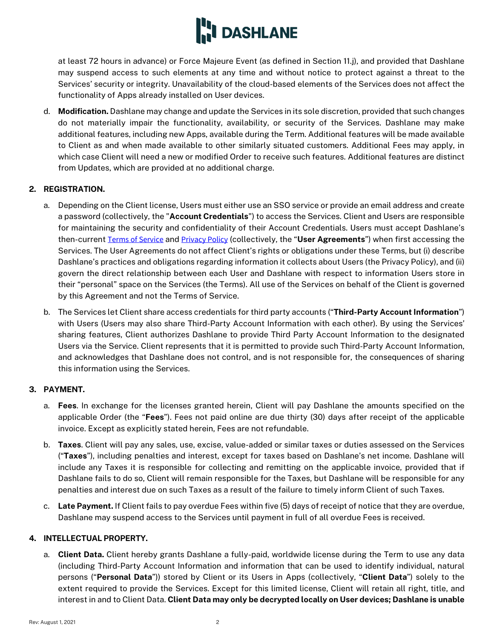

at least 72 hours in advance) or Force Majeure Event (as defined in Section [11.j\)](#page-6-0), and provided that Dashlane may suspend access to such elements at any time and without notice to protect against a threat to the Services' security or integrity. Unavailability of the cloud-based elements of the Services does not affect the functionality of Apps already installed on User devices.

d. **Modification.** Dashlane may change and update the Services in its sole discretion, provided that such changes do not materially impair the functionality, availability, or security of the Services. Dashlane may make additional features, including new Apps, available during the Term. Additional features will be made available to Client as and when made available to other similarly situated customers. Additional Fees may apply, in which case Client will need a new or modified Order to receive such features. Additional features are distinct from Updates, which are provided at no additional charge.

## **2. REGISTRATION.**

- a. Depending on the Client license, Users must either use an SSO service or provide an email address and create a password (collectively, the "**Account Credentials**") to access the Services. Client and Users are responsible for maintaining the security and confidentiality of their Account Credentials. Users must accept Dashlane's then-current [Terms of Service](https://www.dashlane.com/terms) and [Privacy Policy](https://www.dashlane.com/privacy) (collectively, the "**User Agreements**") when first accessing the Services. The User Agreements do not affect Client's rights or obligations under these Terms, but (i) describe Dashlane's practices and obligations regarding information it collects about Users (the Privacy Policy), and (ii) govern the direct relationship between each User and Dashlane with respect to information Users store in their "personal" space on the Services (the Terms). All use of the Services on behalf of the Client is governed by this Agreement and not the Terms of Service.
- b. The Services let Client share access credentials for third party accounts ("**Third-Party Account Information**") with Users (Users may also share Third-Party Account Information with each other). By using the Services' sharing features, Client authorizes Dashlane to provide Third Party Account Information to the designated Users via the Service. Client represents that it is permitted to provide such Third-Party Account Information, and acknowledges that Dashlane does not control, and is not responsible for, the consequences of sharing this information using the Services.

## <span id="page-1-0"></span>**3. PAYMENT.**

- a. **Fees**. In exchange for the licenses granted herein, Client will pay Dashlane the amounts specified on the applicable Order (the "**Fees**"). Fees not paid online are due thirty (30) days after receipt of the applicable invoice. Except as explicitly stated herein, Fees are not refundable.
- b. **Taxes**. Client will pay any sales, use, excise, value-added or similar taxes or duties assessed on the Services ("**Taxes**"), including penalties and interest, except for taxes based on Dashlane's net income. Dashlane will include any Taxes it is responsible for collecting and remitting on the applicable invoice, provided that if Dashlane fails to do so, Client will remain responsible for the Taxes, but Dashlane will be responsible for any penalties and interest due on such Taxes as a result of the failure to timely inform Client of such Taxes.
- c. **Late Payment.** If Client fails to pay overdue Fees within five (5) days of receipt of notice that they are overdue, Dashlane may suspend access to the Services until payment in full of all overdue Fees is received.

## <span id="page-1-1"></span>**4. INTELLECTUAL PROPERTY.**

a. **Client Data.** Client hereby grants Dashlane a fully-paid, worldwide license during the Term to use any data (including Third-Party Account Information and information that can be used to identify individual, natural persons ("**Personal Data**")) stored by Client or its Users in Apps (collectively, "**Client Data**") solely to the extent required to provide the Services. Except for this limited license, Client will retain all right, title, and interest in and to Client Data. **Client Data may only be decrypted locally on User devices; Dashlane is unable**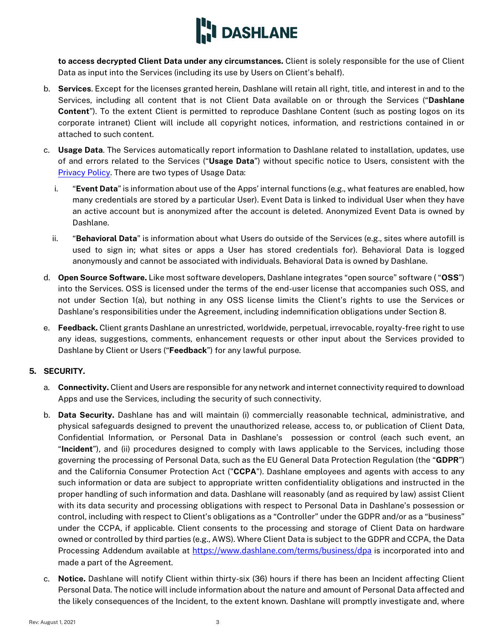

**to access decrypted Client Data under any circumstances.** Client is solely responsible for the use of Client Data as input into the Services (including its use by Users on Client's behalf).

- b. **Services**. Except for the licenses granted herein, Dashlane will retain all right, title, and interest in and to the Services, including all content that is not Client Data available on or through the Services ("**Dashlane Content**"). To the extent Client is permitted to reproduce Dashlane Content (such as posting logos on its corporate intranet) Client will include all copyright notices, information, and restrictions contained in or attached to such content.
- c. **Usage Data**. The Services automatically report information to Dashlane related to installation, updates, use of and errors related to the Services ("**Usage Data**") without specific notice to Users, consistent with the [Privacy Policy.](https://www.dashlane.com/privacy) There are two types of Usage Data:
	- i. "**Event Data**" is information about use of the Apps' internal functions (e.g., what features are enabled, how many credentials are stored by a particular User). Event Data is linked to individual User when they have an active account but is anonymized after the account is deleted. Anonymized Event Data is owned by Dashlane.
	- ii. "**Behavioral Data**" is information about what Users do outside of the Services (e.g., sites where autofill is used to sign in; what sites or apps a User has stored credentials for). Behavioral Data is logged anonymously and cannot be associated with individuals. Behavioral Data is owned by Dashlane.
- d. **Open Source Software.** Like most software developers, Dashlane integrates "open source" software ( "**OSS**") into the Services. OSS is licensed under the terms of the end-user license that accompanies such OSS, and not under Section [1\(a\),](#page-0-0) but nothing in any OSS license limits the Client's rights to use the Services or Dashlane's responsibilities under the Agreement, including indemnification obligations under Section 8.
- e. **Feedback.** Client grants Dashlane an unrestricted, worldwide, perpetual, irrevocable, royalty-free right to use any ideas, suggestions, comments, enhancement requests or other input about the Services provided to Dashlane by Client or Users ("**Feedback**") for any lawful purpose.

## **5. SECURITY.**

- a. **Connectivity.** Client and Users are responsible for any network and internet connectivity required to download Apps and use the Services, including the security of such connectivity.
- b. **Data Security.** Dashlane has and will maintain (i) commercially reasonable technical, administrative, and physical safeguards designed to prevent the unauthorized release, access to, or publication of Client Data, Confidential Information, or Personal Data in Dashlane's possession or control (each such event, an "**Incident**"), and (ii) procedures designed to comply with laws applicable to the Services, including those governing the processing of Personal Data, such as the EU General Data Protection Regulation (the "**GDPR**") and the California Consumer Protection Act ("**CCPA**"). Dashlane employees and agents with access to any such information or data are subject to appropriate written confidentiality obligations and instructed in the proper handling of such information and data. Dashlane will reasonably (and as required by law) assist Client with its data security and processing obligations with respect to Personal Data in Dashlane's possession or control, including with respect to Client's obligations as a "Controller" under the GDPR and/or as a "business" under the CCPA, if applicable. Client consents to the processing and storage of Client Data on hardware owned or controlled by third parties (e.g., AWS). Where Client Data is subject to the GDPR and CCPA, the Data Processing Addendum available at <https://www.dashlane.com/terms/business/dpa> is incorporated into and made a part of the Agreement.
- <span id="page-2-0"></span>c. **Notice.** Dashlane will notify Client within thirty-six (36) hours if there has been an Incident affecting Client Personal Data. The notice will include information about the nature and amount of Personal Data affected and the likely consequences of the Incident, to the extent known. Dashlane will promptly investigate and, where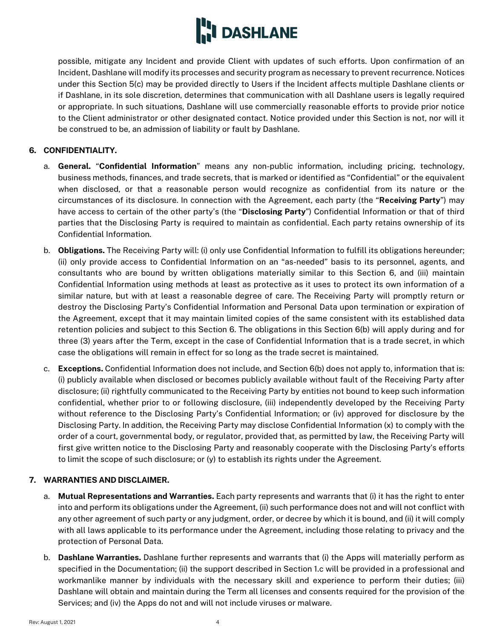

possible, mitigate any Incident and provide Client with updates of such efforts. Upon confirmation of an Incident, Dashlane will modify its processes and security program as necessary to prevent recurrence. Notices under this Section [5\(c\)](#page-2-0) may be provided directly to Users if the Incident affects multiple Dashlane clients or if Dashlane, in its sole discretion, determines that communication with all Dashlane users is legally required or appropriate. In such situations, Dashlane will use commercially reasonable efforts to provide prior notice to the Client administrator or other designated contact. Notice provided under this Section is not, nor will it be construed to be, an admission of liability or fault by Dashlane.

## <span id="page-3-0"></span>**6. CONFIDENTIALITY.**

- a. **General.** "**Confidential Information**" means any non-public information, including pricing, technology, business methods, finances, and trade secrets, that is marked or identified as "Confidential" or the equivalent when disclosed, or that a reasonable person would recognize as confidential from its nature or the circumstances of its disclosure. In connection with the Agreement, each party (the "**Receiving Party**") may have access to certain of the other party's (the "**Disclosing Party**") Confidential Information or that of third parties that the Disclosing Party is required to maintain as confidential. Each party retains ownership of its Confidential Information.
- <span id="page-3-1"></span>b. **Obligations.** The Receiving Party will: (i) only use Confidential Information to fulfill its obligations hereunder; (ii) only provide access to Confidential Information on an "as-needed" basis to its personnel, agents, and consultants who are bound by written obligations materially similar to this Section [6,](#page-3-0) and (iii) maintain Confidential Information using methods at least as protective as it uses to protect its own information of a similar nature, but with at least a reasonable degree of care. The Receiving Party will promptly return or destroy the Disclosing Party's Confidential Information and Personal Data upon termination or expiration of the Agreement, except that it may maintain limited copies of the same consistent with its established data retention policies and subject to this Section [6.](#page-3-0) The obligations in this Section [6\(b\)](#page-3-1) will apply during and for three (3) years after the Term, except in the case of Confidential Information that is a trade secret, in which case the obligations will remain in effect for so long as the trade secret is maintained.
- c. **Exceptions.** Confidential Information does not include, and Section [6\(b\)](#page-3-1) does not apply to, information that is: (i) publicly available when disclosed or becomes publicly available without fault of the Receiving Party after disclosure; (ii) rightfully communicated to the Receiving Party by entities not bound to keep such information confidential, whether prior to or following disclosure, (iii) independently developed by the Receiving Party without reference to the Disclosing Party's Confidential Information; or (iv) approved for disclosure by the Disclosing Party. In addition, the Receiving Party may disclose Confidential Information (x) to comply with the order of a court, governmental body, or regulator, provided that, as permitted by law, the Receiving Party will first give written notice to the Disclosing Party and reasonably cooperate with the Disclosing Party's efforts to limit the scope of such disclosure; or (y) to establish its rights under the Agreement.

# **7. WARRANTIES AND DISCLAIMER.**

- a. **Mutual Representations and Warranties.** Each party represents and warrants that (i) it has the right to enter into and perform its obligations under the Agreement, (ii) such performance does not and will not conflict with any other agreement of such party or any judgment, order, or decree by which it is bound, and (ii) it will comply with all laws applicable to its performance under the Agreement, including those relating to privacy and the protection of Personal Data.
- b. **Dashlane Warranties.** Dashlane further represents and warrants that (i) the Apps will materially perform as specified in the Documentation; (ii) the support described in Section 1.c will be provided in a professional and workmanlike manner by individuals with the necessary skill and experience to perform their duties; (iii) Dashlane will obtain and maintain during the Term all licenses and consents required for the provision of the Services; and (iv) the Apps do not and will not include viruses or malware.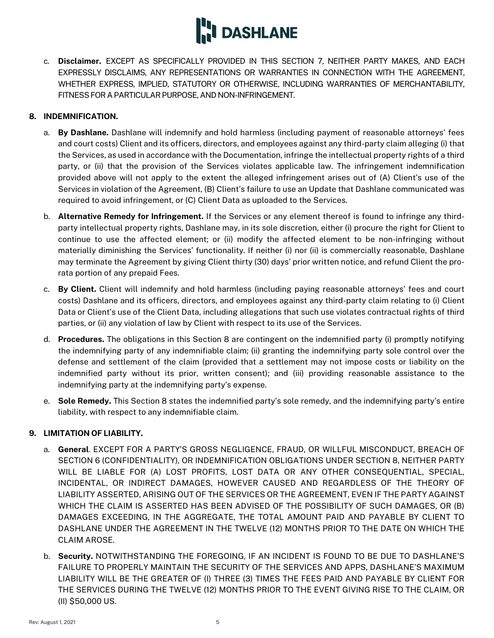

c. **Disclaimer.** EXCEPT AS SPECIFICALLY PROVIDED IN THIS SECTION 7, NEITHER PARTY MAKES, AND EACH EXPRESSLY DISCLAIMS, ANY REPRESENTATIONS OR WARRANTIES IN CONNECTION WITH THE AGREEMENT, WHETHER EXPRESS, IMPLIED, STATUTORY OR OTHERWISE, INCLUDING WARRANTIES OF MERCHANTABILITY, FITNESS FOR A PARTICULAR PURPOSE, AND NON-INFRINGEMENT.

## <span id="page-4-0"></span>**8. INDEMNIFICATION.**

- a. **By Dashlane.** Dashlane will indemnify and hold harmless (including payment of reasonable attorneys' fees and court costs) Client and its officers, directors, and employees against any third-party claim alleging (i) that the Services, as used in accordance with the Documentation, infringe the intellectual property rights of a third party, or (ii) that the provision of the Services violates applicable law. The infringement indemnification provided above will not apply to the extent the alleged infringement arises out of (A) Client's use of the Services in violation of the Agreement, (B) Client's failure to use an Update that Dashlane communicated was required to avoid infringement, or (C) Client Data as uploaded to the Services.
- b. **Alternative Remedy for Infringement.** If the Services or any element thereof is found to infringe any thirdparty intellectual property rights, Dashlane may, in its sole discretion, either (i) procure the right for Client to continue to use the affected element; or (ii) modify the affected element to be non-infringing without materially diminishing the Services' functionality. If neither (i) nor (ii) is commercially reasonable, Dashlane may terminate the Agreement by giving Client thirty (30) days' prior written notice, and refund Client the prorata portion of any prepaid Fees.
- c. **By Client.** Client will indemnify and hold harmless (including paying reasonable attorneys' fees and court costs) Dashlane and its officers, directors, and employees against any third-party claim relating to (i) Client Data or Client's use of the Client Data, including allegations that such use violates contractual rights of third parties, or (ii) any violation of law by Client with respect to its use of the Services.
- d. **Procedures.** The obligations in this Section [8](#page-4-0) are contingent on the indemnified party (i) promptly notifying the indemnifying party of any indemnifiable claim; (ii) granting the indemnifying party sole control over the defense and settlement of the claim (provided that a settlement may not impose costs or liability on the indemnified party without its prior, written consent); and (iii) providing reasonable assistance to the indemnifying party at the indemnifying party's expense.
- e. **Sole Remedy.** This Section [8](#page-4-0) states the indemnified party's sole remedy, and the indemnifying party's entire liability, with respect to any indemnifiable claim.

## <span id="page-4-1"></span>**9. LIMITATION OF LIABILITY.**

- a. **General**. EXCEPT FOR A PARTY'S GROSS NEGLIGENCE, FRAUD, OR WILLFUL MISCONDUCT, BREACH OF SECTION [6](#page-3-0) (CONFIDENTIALITY), OR INDEMNIFICATION OBLIGATIONS UNDER SECTIO[N 8,](#page-4-0) NEITHER PARTY WILL BE LIABLE FOR (A) LOST PROFITS, LOST DATA OR ANY OTHER CONSEQUENTIAL, SPECIAL, INCIDENTAL, OR INDIRECT DAMAGES, HOWEVER CAUSED AND REGARDLESS OF THE THEORY OF LIABILITY ASSERTED, ARISING OUT OF THE SERVICES OR THE AGREEMENT, EVEN IF THE PARTY AGAINST WHICH THE CLAIM IS ASSERTED HAS BEEN ADVISED OF THE POSSIBILITY OF SUCH DAMAGES, OR (B) DAMAGES EXCEEDING, IN THE AGGREGATE, THE TOTAL AMOUNT PAID AND PAYABLE BY CLIENT TO DASHLANE UNDER THE AGREEMENT IN THE TWELVE (12) MONTHS PRIOR TO THE DATE ON WHICH THE CLAIM AROSE.
- b. **Security.** NOTWITHSTANDING THE FOREGOING, IF AN INCIDENT IS FOUND TO BE DUE TO DASHLANE'S FAILURE TO PROPERLY MAINTAIN THE SECURITY OF THE SERVICES AND APPS, DASHLANE'S MAXIMUM LIABILITY WILL BE THE GREATER OF (I) THREE (3) TIMES THE FEES PAID AND PAYABLE BY CLIENT FOR THE SERVICES DURING THE TWELVE (12) MONTHS PRIOR TO THE EVENT GIVING RISE TO THE CLAIM, OR (II) \$50,000 US.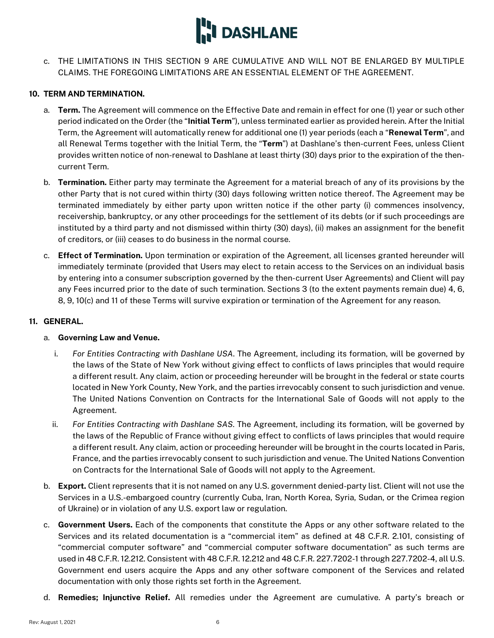

c. THE LIMITATIONS IN THIS SECTION 9 ARE CUMULATIVE AND WILL NOT BE ENLARGED BY MULTIPLE CLAIMS. THE FOREGOING LIMITATIONS ARE AN ESSENTIAL ELEMENT OF THE AGREEMENT.

### <span id="page-5-0"></span>**10. TERM AND TERMINATION.**

- a. **Term.** The Agreement will commence on the Effective Date and remain in effect for one (1) year or such other period indicated on the Order (the "**Initial Term**"), unless terminated earlier as provided herein. After the Initial Term, the Agreement will automatically renew for additional one (1) year periods (each a "**Renewal Term**", and all Renewal Terms together with the Initial Term, the "**Term**") at Dashlane's then-current Fees, unless Client provides written notice of non-renewal to Dashlane at least thirty (30) days prior to the expiration of the thencurrent Term.
- b. **Termination.** Either party may terminate the Agreement for a material breach of any of its provisions by the other Party that is not cured within thirty (30) days following written notice thereof. The Agreement may be terminated immediately by either party upon written notice if the other party (i) commences insolvency, receivership, bankruptcy, or any other proceedings for the settlement of its debts (or if such proceedings are instituted by a third party and not dismissed within thirty (30) days), (ii) makes an assignment for the benefit of creditors, or (iii) ceases to do business in the normal course.
- <span id="page-5-1"></span>c. **Effect of Termination.** Upon termination or expiration of the Agreement, all licenses granted hereunder will immediately terminate (provided that Users may elect to retain access to the Services on an individual basis by entering into a consumer subscription governed by the then-current User Agreements) and Client will pay any Fees incurred prior to the date of such termination. Sections [3](#page-1-0) (to the extent payments remain due) [4,](#page-1-1) [6,](#page-3-0)  [8,](#page-4-0) [9,](#page-4-1) [10\(c\)](#page-5-1) and [11](#page-5-2) of these Terms will survive expiration or termination of the Agreement for any reason.

### <span id="page-5-2"></span>**11. GENERAL.**

## a. **Governing Law and Venue.**

- i. *For Entities Contracting with Dashlane USA*. The Agreement, including its formation, will be governed by the laws of the State of New York without giving effect to conflicts of laws principles that would require a different result. Any claim, action or proceeding hereunder will be brought in the federal or state courts located in New York County, New York, and the parties irrevocably consent to such jurisdiction and venue. The United Nations Convention on Contracts for the International Sale of Goods will not apply to the Agreement.
- ii. *For Entities Contracting with Dashlane SAS*. The Agreement, including its formation, will be governed by the laws of the Republic of France without giving effect to conflicts of laws principles that would require a different result. Any claim, action or proceeding hereunder will be brought in the courts located in Paris, France, and the parties irrevocably consent to such jurisdiction and venue. The United Nations Convention on Contracts for the International Sale of Goods will not apply to the Agreement.
- b. **Export.** Client represents that it is not named on any U.S. government denied-party list. Client will not use the Services in a U.S.-embargoed country (currently Cuba, Iran, North Korea, Syria, Sudan, or the Crimea region of Ukraine) or in violation of any U.S. export law or regulation.
- c. **Government Users.** Each of the components that constitute the Apps or any other software related to the Services and its related documentation is a "commercial item" as defined at 48 C.F.R. 2.101, consisting of "commercial computer software" and "commercial computer software documentation" as such terms are used in 48 C.F.R. 12.212. Consistent with 48 C.F.R. 12.212 and 48 C.F.R. 227.7202-1 through 227.7202-4, all U.S. Government end users acquire the Apps and any other software component of the Services and related documentation with only those rights set forth in the Agreement.
- d. **Remedies; Injunctive Relief.** All remedies under the Agreement are cumulative. A party's breach or